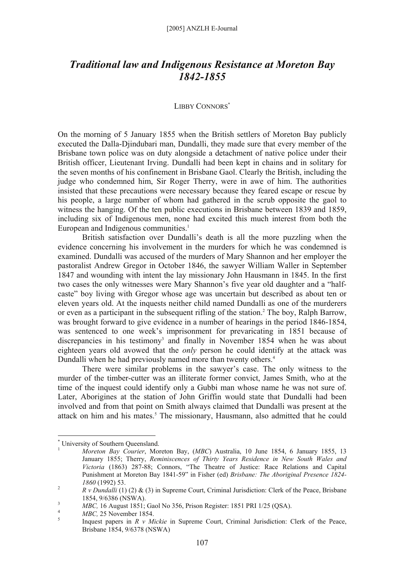## *Traditional law and Indigenous Resistance at Moreton Bay 1842-1855*

## LIBBY CONNORS\*

On the morning of 5 January 1855 when the British settlers of Moreton Bay publicly executed the Dalla-Djindubari man, Dundalli, they made sure that every member of the Brisbane town police was on duty alongside a detachment of native police under their British officer, Lieutenant Irving. Dundalli had been kept in chains and in solitary for the seven months of his confinement in Brisbane Gaol. Clearly the British, including the judge who condemned him, Sir Roger Therry, were in awe of him. The authorities insisted that these precautions were necessary because they feared escape or rescue by his people, a large number of whom had gathered in the scrub opposite the gaol to witness the hanging. Of the ten public executions in Brisbane between 1839 and 1859, including six of Indigenous men, none had excited this much interest from both the European and Indigenous communities.<sup>1</sup>

British satisfaction over Dundalli's death is all the more puzzling when the evidence concerning his involvement in the murders for which he was condemned is examined. Dundalli was accused of the murders of Mary Shannon and her employer the pastoralist Andrew Gregor in October 1846, the sawyer William Waller in September 1847 and wounding with intent the lay missionary John Hausmann in 1845. In the first two cases the only witnesses were Mary Shannon's five year old daughter and a "halfcaste" boy living with Gregor whose age was uncertain but described as about ten or eleven years old. At the inquests neither child named Dundalli as one of the murderers or even as a participant in the subsequent rifling of the station.<sup>2</sup> The boy, Ralph Barrow, was brought forward to give evidence in a number of hearings in the period 1846-1854, was sentenced to one week's imprisonment for prevaricating in 1851 because of discrepancies in his testimony<sup>3</sup> and finally in November 1854 when he was about eighteen years old avowed that the *only* person he could identify at the attack was Dundalli when he had previously named more than twenty others.<sup>4</sup>

There were similar problems in the sawyer's case. The only witness to the murder of the timber-cutter was an illiterate former convict, James Smith, who at the time of the inquest could identify only a Gubbi man whose name he was not sure of. Later, Aborigines at the station of John Griffin would state that Dundalli had been involved and from that point on Smith always claimed that Dundalli was present at the attack on him and his mates.<sup>5</sup> The missionary, Hausmann, also admitted that he could

 $\overline{a}$ 

<sup>\*</sup> University of Southern Queensland.

<sup>1</sup> *Moreton Bay Courier*, Moreton Bay, (*MBC*) Australia, 10 June 1854, 6 January 1855, 13 January 1855; Therry, *Reminiscences of Thirty Years Residence in New South Wales and Victoria* (1863) 287-88; Connors, "The Theatre of Justice: Race Relations and Capital Punishment at Moreton Bay 1841-59" in Fisher (ed) *Brisbane: The Aboriginal Presence 1824-*  $1860(1992)$  53.

*R v Dundalli* (1) (2) & (3) in Supreme Court, Criminal Jurisdiction: Clerk of the Peace, Brisbane  $1854, 9/6386 \text{ (NSWA)}$ 

*MBC,* 16 August 1851; Gaol No 356, Prison Register: 1851 PRI 1/25 (QSA).

<sup>&</sup>lt;sup>4</sup> *MBC*, 25 November 1854.

Inquest papers in *R v Mickie* in Supreme Court, Criminal Jurisdiction: Clerk of the Peace, Brisbane 1854, 9/6378 (NSWA)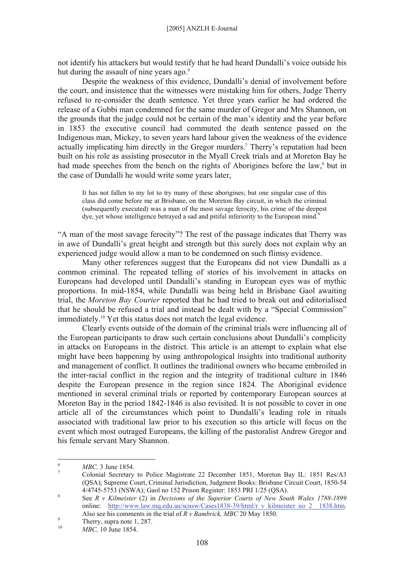not identify his attackers but would testify that he had heard Dundalli's voice outside his hut during the assault of nine years ago.<sup>6</sup>

Despite the weakness of this evidence, Dundalli's denial of involvement before the court, and insistence that the witnesses were mistaking him for others, Judge Therry refused to re-consider the death sentence. Yet three years earlier he had ordered the release of a Gubbi man condemned for the same murder of Gregor and Mrs Shannon, on the grounds that the judge could not be certain of the man's identity and the year before in 1853 the executive council had commuted the death sentence passed on the Indigenous man, Mickey, to seven years hard labour given the weakness of the evidence actually implicating him directly in the Gregor murders.<sup>7</sup> Therry's reputation had been built on his role as assisting prosecutor in the Myall Creek trials and at Moreton Bay he had made speeches from the bench on the rights of Aborigines before the law,<sup>8</sup> but in the case of Dundalli he would write some years later,

It has not fallen to my lot to try many of these aborigines; but one singular case of this class did come before me at Brisbane, on the Moreton Bay circuit, in which the criminal (subsequently executed) was a man of the most savage ferocity, his crime of the deepest dye, yet whose intelligence betrayed a sad and pitiful inferiority to the European mind.<sup>9</sup>

"A man of the most savage ferocity"? The rest of the passage indicates that Therry was in awe of Dundalli's great height and strength but this surely does not explain why an experienced judge would allow a man to be condemned on such flimsy evidence.

Many other references suggest that the Europeans did not view Dundalli as a common criminal. The repeated telling of stories of his involvement in attacks on Europeans had developed until Dundalli's standing in European eyes was of mythic proportions. In mid-1854, while Dundalli was being held in Brisbane Gaol awaiting trial, the *Moreton Bay Courier* reported that he had tried to break out and editorialised that he should be refused a trial and instead be dealt with by a "Special Commission" immediately.10 Yet this status does not match the legal evidence.

Clearly events outside of the domain of the criminal trials were influencing all of the European participants to draw such certain conclusions about Dundalli's complicity in attacks on Europeans in the district. This article is an attempt to explain what else might have been happening by using anthropological insights into traditional authority and management of conflict. It outlines the traditional owners who became embroiled in the inter-racial conflict in the region and the integrity of traditional culture in 1846 despite the European presence in the region since 1824. The Aboriginal evidence mentioned in several criminal trials or reported by contemporary European sources at Moreton Bay in the period 1842-1846 is also revisited. It is not possible to cover in one article all of the circumstances which point to Dundalli's leading role in rituals associated with traditional law prior to his execution so this article will focus on the event which most outraged Europeans, the killing of the pastoralist Andrew Gregor and his female servant Mary Shannon.

 $\frac{1}{6}$  $MBC$ , 3 June 1854.

Colonial Secretary to Police Magistrate 22 December 1851, Moreton Bay IL: 1851 Res/A3 (QSA); Supreme Court, Criminal Jurisdiction, Judgment Books: Brisbane Circuit Court, 1850-54 4/4745-5753 (NSWA); Gaol no 152 Prison Register: 1853 PRI 1/25 (QSA).

See *R v Kilmeister* (2) in *Decisions of the Superior Courts of New South Wales 1788-1899* online: http://www.law.mq.edu.au/scnsw/Cases1838-39/html/r\_v\_kilmeister\_no\_2\_\_1838.htm. Also see his comments in the trial of *R v Bambrick, MBC* 20 May 1850.

Therry, supra note  $1, 287$ .

<sup>10</sup> *MBC,* 10 June 1854.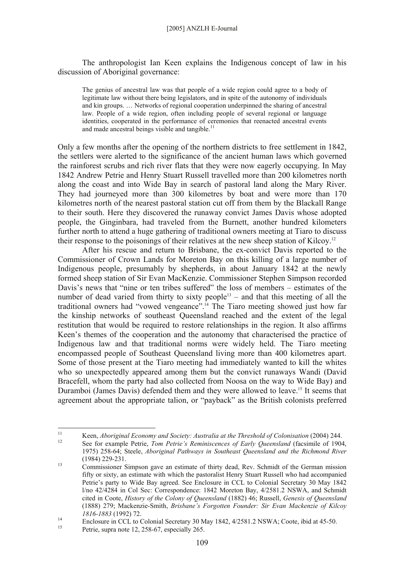The anthropologist Ian Keen explains the Indigenous concept of law in his discussion of Aboriginal governance:

The genius of ancestral law was that people of a wide region could agree to a body of legitimate law without there being legislators, and in spite of the autonomy of individuals and kin groups. … Networks of regional cooperation underpinned the sharing of ancestral law. People of a wide region, often including people of several regional or language identities, cooperated in the performance of ceremonies that reenacted ancestral events and made ancestral beings visible and tangible. $^{11}$ 

Only a few months after the opening of the northern districts to free settlement in 1842, the settlers were alerted to the significance of the ancient human laws which governed the rainforest scrubs and rich river flats that they were now eagerly occupying. In May 1842 Andrew Petrie and Henry Stuart Russell travelled more than 200 kilometres north along the coast and into Wide Bay in search of pastoral land along the Mary River. They had journeyed more than 300 kilometres by boat and were more than 170 kilometres north of the nearest pastoral station cut off from them by the Blackall Range to their south. Here they discovered the runaway convict James Davis whose adopted people, the Ginginbara, had traveled from the Burnett, another hundred kilometers further north to attend a huge gathering of traditional owners meeting at Tiaro to discuss their response to the poisonings of their relatives at the new sheep station of Kilcoy.12

After his rescue and return to Brisbane, the ex-convict Davis reported to the Commissioner of Crown Lands for Moreton Bay on this killing of a large number of Indigenous people, presumably by shepherds, in about January 1842 at the newly formed sheep station of Sir Evan MacKenzie. Commissioner Stephen Simpson recorded Davis's news that "nine or ten tribes suffered" the loss of members – estimates of the number of dead varied from thirty to sixty people<sup>13</sup> – and that this meeting of all the traditional owners had "vowed vengeance".14 The Tiaro meeting showed just how far the kinship networks of southeast Queensland reached and the extent of the legal restitution that would be required to restore relationships in the region. It also affirms Keen's themes of the cooperation and the autonomy that characterised the practice of Indigenous law and that traditional norms were widely held. The Tiaro meeting encompassed people of Southeast Queensland living more than 400 kilometres apart. Some of those present at the Tiaro meeting had immediately wanted to kill the whites who so unexpectedly appeared among them but the convict runaways Wandi (David Bracefell, whom the party had also collected from Noosa on the way to Wide Bay) and Duramboi (James Davis) defended them and they were allowed to leave.<sup>15</sup> It seems that agreement about the appropriate talion, or "payback" as the British colonists preferred

 $11$ <sup>11</sup> Keen, *Aboriginal Economy and Society: Australia at the Threshold of Colonisation* (2004) 244.<br><sup>12</sup> See for example Petrie, *Tom Petrie's Reminiscences of Early Queensland* (facsimile of 1904,

<sup>1975) 258-64;</sup> Steele, *Aboriginal Pathways in Southeast Queensland and the Richmond River* (1984) 229-231.<br><sup>13</sup> Commissioner Simpson gave an estimate of thirty dead, Rev. Schmidt of the German mission

fifty or sixty, an estimate with which the pastoralist Henry Stuart Russell who had accompanied Petrie's party to Wide Bay agreed. See Enclosure in CCL to Colonial Secretary 30 May 1842 l/no 42/4284 in Col Sec: Correspondence: 1842 Moreton Bay, 4/2581.2 NSWA, and Schmidt cited in Coote, *History of the Colony of Queensland* (1882) 46; Russell, *Genesis of Queensland*  (1888) 279; Mackenzie-Smith, *Brisbane's Forgotten Founder: Sir Evan Mackenzie of Kilcoy* 

*<sup>1816-1883</sup>* (1992) 72.<br>
Enclosure in CCL to Colonial Secretary 30 May 1842, 4/2581.2 NSWA; Coote, ibid at 45-50.<br>
Petrie, supra note 12, 258-67, especially 265.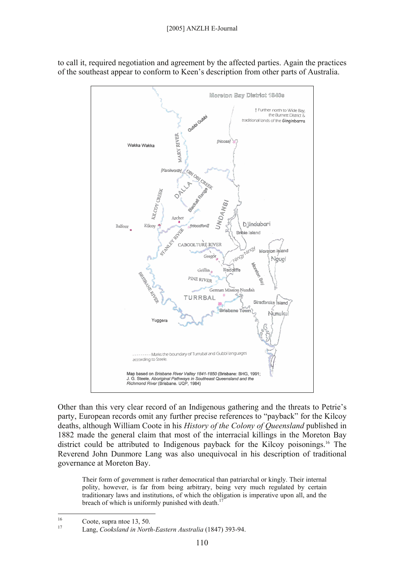

to call it, required negotiation and agreement by the affected parties. Again the practices of the southeast appear to conform to Keen's description from other parts of Australia.

Other than this very clear record of an Indigenous gathering and the threats to Petrie's party, European records omit any further precise references to "payback" for the Kilcoy deaths, although William Coote in his *History of the Colony of Queensland* published in 1882 made the general claim that most of the interracial killings in the Moreton Bay district could be attributed to Indigenous payback for the Kilcoy poisonings.<sup>16</sup> The Reverend John Dunmore Lang was also unequivocal in his description of traditional governance at Moreton Bay.

Their form of government is rather democratical than patriarchal or kingly. Their internal polity, however, is far from being arbitrary, being very much regulated by certain traditionary laws and institutions, of which the obligation is imperative upon all, and the breach of which is uniformly punished with death.<sup>17</sup>

<sup>16</sup>  $\frac{16}{17}$  Coote, supra ntoe 13, 50.

<sup>17</sup> Lang, *Cooksland in North-Eastern Australia* (1847) 393-94.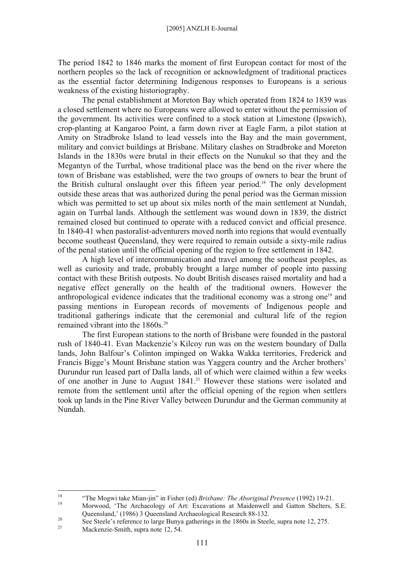The period 1842 to 1846 marks the moment of first European contact for most of the northern peoples so the lack of recognition or acknowledgment of traditional practices as the essential factor determining Indigenous responses to Europeans is a serious weakness of the existing historiography.

The penal establishment at Moreton Bay which operated from 1824 to 1839 was a closed settlement where no Europeans were allowed to enter without the permission of the government. Its activities were confined to a stock station at Limestone (Ipswich), crop-planting at Kangaroo Point, a farm down river at Eagle Farm, a pilot station at Amity on Stradbroke Island to lead vessels into the Bay and the main government, military and convict buildings at Brisbane. Military clashes on Stradbroke and Moreton Islands in the 1830s were brutal in their effects on the Nunukul so that they and the Megantyn of the Turrbal, whose traditional place was the bend on the river where the town of Brisbane was established, were the two groups of owners to bear the brunt of the British cultural onslaught over this fifteen year period.18 The only development outside these areas that was authorized during the penal period was the German mission which was permitted to set up about six miles north of the main settlement at Nundah, again on Turrbal lands. Although the settlement was wound down in 1839, the district remained closed but continued to operate with a reduced convict and official presence. In 1840-41 when pastoralist-adventurers moved north into regions that would eventually become southeast Queensland, they were required to remain outside a sixty-mile radius of the penal station until the official opening of the region to free settlement in 1842.

A high level of intercommunication and travel among the southeast peoples, as well as curiosity and trade, probably brought a large number of people into passing contact with these British outposts. No doubt British diseases raised mortality and had a negative effect generally on the health of the traditional owners. However the anthropological evidence indicates that the traditional economy was a strong one<sup>19</sup> and passing mentions in European records of movements of Indigenous people and traditional gatherings indicate that the ceremonial and cultural life of the region remained vibrant into the 1860s.<sup>20</sup>

The first European stations to the north of Brisbane were founded in the pastoral rush of 1840-41. Evan Mackenzie's Kilcoy run was on the western boundary of Dalla lands, John Balfour's Colinton impinged on Wakka Wakka territories, Frederick and Francis Bigge's Mount Brisbane station was Yaggera country and the Archer brothers' Durundur run leased part of Dalla lands, all of which were claimed within a few weeks of one another in June to August 1841.<sup>21</sup> However these stations were isolated and remote from the settlement until after the official opening of the region when settlers took up lands in the Pine River Valley between Durundur and the German community at Nundah.

<sup>18</sup> <sup>18</sup> "The Mogwi take Mian-jin" in Fisher (ed) *Brisbane: The Aboriginal Presence* (1992) 19-21.<br><sup>19</sup> Morwood, 'The Archaeology of Art: Excavations at Maidenwell and Gatton Shelters, S.E.

Queensland,' (1986) 3 Queensland Archaeological Research 88-132.

<sup>&</sup>lt;sup>20</sup> See Steele's reference to large Bunya gatherings in the 1860s in Steele, supra note 12, 275.<br>Mackenzie-Smith, supra note 12, 54.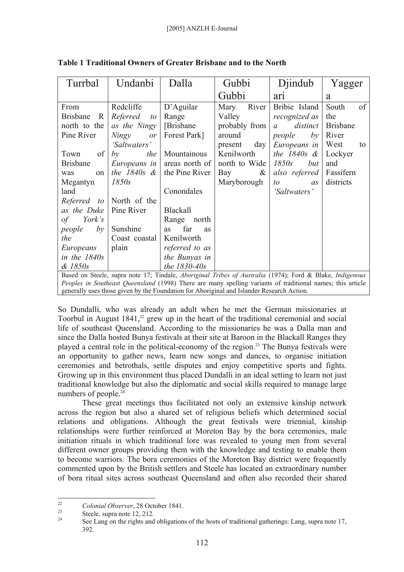| Turrbal                                                                                                                                                                                                 | Undanbi            | Dalla                  | Gubbi            | Djindub                    | Yagger          |
|---------------------------------------------------------------------------------------------------------------------------------------------------------------------------------------------------------|--------------------|------------------------|------------------|----------------------------|-----------------|
|                                                                                                                                                                                                         |                    |                        | Gubbi            | ar <sub>1</sub>            | a               |
| From                                                                                                                                                                                                    | Redcliffe          | $D'$ Aguilar           | River<br>Mary    | Bribie Island              | South<br>of     |
| <b>Brisbane</b><br>R                                                                                                                                                                                    | Referred<br>to     | Range                  | Valley           | recognized as              | the             |
| north to the                                                                                                                                                                                            | as the Ningy       | [Brisbane]             | probably from    | distinct<br>$\mathfrak{a}$ | <b>Brisbane</b> |
| Pine River                                                                                                                                                                                              | <b>Ningy</b><br>or | Forest Park]           | around           | people<br>by               | River           |
|                                                                                                                                                                                                         | 'Saltwaters'       |                        | $present \, day$ | Europeans in               | West<br>to      |
| of<br>Town                                                                                                                                                                                              | by<br>the          | Mountainous            | Kenilworth       | the $1840s$ &              | Lockyer         |
| <b>Brisbane</b>                                                                                                                                                                                         | Europeans in       | areas north of         | north to Wide    | 1850s<br>but               | and             |
| was<br>on                                                                                                                                                                                               | the $1840s$ &      | the Pine River         | $\alpha$<br>Bay  | also referred              | Fassifern       |
| Megantyn                                                                                                                                                                                                | 1850s              |                        | Maryborough      | to<br>as                   | districts       |
| land                                                                                                                                                                                                    |                    | Conondales             |                  | 'Saltwaters'               |                 |
| Referred to                                                                                                                                                                                             | North of the       |                        |                  |                            |                 |
| as the Duke                                                                                                                                                                                             | Pine River         | <b>Blackall</b>        |                  |                            |                 |
| York's<br>$\sigma f$                                                                                                                                                                                    |                    | Range<br>north         |                  |                            |                 |
| people<br>by                                                                                                                                                                                            | Sunshine           | far<br>as<br><b>as</b> |                  |                            |                 |
| the                                                                                                                                                                                                     | Coast coastal      | Kenilworth             |                  |                            |                 |
| Europeans                                                                                                                                                                                               | plain              | referred to as         |                  |                            |                 |
| in the $1840s$                                                                                                                                                                                          |                    | the Bunyas in          |                  |                            |                 |
| $&$ 1850s                                                                                                                                                                                               |                    | the 1830-40s           |                  |                            |                 |
| Based on Steele, supra note 17; Tindale, Aboriginal Tribes of Australia (1974); Ford & Blake, Indigenous                                                                                                |                    |                        |                  |                            |                 |
| Peoples in Southeast Queensland (1998) There are many spelling variants of traditional names; this article<br>generally uses those given by the Foundation for Aboriginal and Islander Research Action. |                    |                        |                  |                            |                 |
|                                                                                                                                                                                                         |                    |                        |                  |                            |                 |

**Table 1 Traditional Owners of Greater Brisbane and to the North** 

So Dundalli, who was already an adult when he met the German missionaries at Toorbul in August  $1841<sup>22</sup>$  grew up in the heart of the traditional ceremonial and social life of southeast Queensland. According to the missionaries he was a Dalla man and since the Dalla hosted Bunya festivals at their site at Baroon in the Blackall Ranges they played a central role in the political-economy of the region.23 The Bunya festivals were an opportunity to gather news, learn new songs and dances, to organise initiation ceremonies and betrothals, settle disputes and enjoy competitive sports and fights. Growing up in this environment thus placed Dundalli in an ideal setting to learn not just traditional knowledge but also the diplomatic and social skills required to manage large numbers of people.<sup>24</sup>

These great meetings thus facilitated not only an extensive kinship network across the region but also a shared set of religious beliefs which determined social relations and obligations. Although the great festivals were triennial, kinship relationships were further reinforced at Moreton Bay by the bora ceremonies, male initiation rituals in which traditional lore was revealed to young men from several different owner groups providing them with the knowledge and testing to enable them to become warriors. The bora ceremonies of the Moreton Bay district were frequently commented upon by the British settlers and Steele has located an extraordinary number of bora ritual sites across southeast Queensland and often also recorded their shared

 $22$ <sup>22</sup> Colonial Observer, 28 October 1841.<br>
24 Steele, supra note 12, 212.

<sup>24</sup> See Lang on the rights and obligations of the hosts of traditional gatherings: Lang, supra note 17, 392.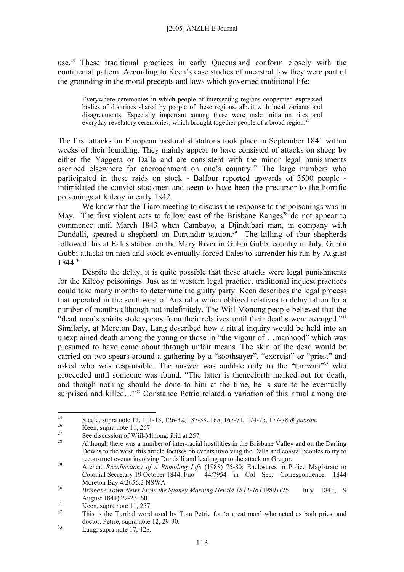use.<sup>25</sup> These traditional practices in early Queensland conform closely with the continental pattern. According to Keen's case studies of ancestral law they were part of the grounding in the moral precepts and laws which governed traditional life:

Everywhere ceremonies in which people of intersecting regions cooperated expressed bodies of doctrines shared by people of these regions, albeit with local variants and disagreements. Especially important among these were male initiation rites and everyday revelatory ceremonies, which brought together people of a broad region.<sup>2</sup>

The first attacks on European pastoralist stations took place in September 1841 within weeks of their founding. They mainly appear to have consisted of attacks on sheep by either the Yaggera or Dalla and are consistent with the minor legal punishments ascribed elsewhere for encroachment on one's country.<sup>27</sup> The large numbers who participated in these raids on stock - Balfour reported upwards of 3500 people intimidated the convict stockmen and seem to have been the precursor to the horrific poisonings at Kilcoy in early 1842.

We know that the Tiaro meeting to discuss the response to the poisonings was in May. The first violent acts to follow east of the Brisbane Ranges<sup>28</sup> do not appear to commence until March 1843 when Cambayo, a Djindubari man, in company with Dundalli, speared a shepherd on Durundur station.<sup>29</sup> The killing of four shepherds followed this at Eales station on the Mary River in Gubbi Gubbi country in July. Gubbi Gubbi attacks on men and stock eventually forced Eales to surrender his run by August 1844.30

Despite the delay, it is quite possible that these attacks were legal punishments for the Kilcoy poisonings. Just as in western legal practice, traditional inquest practices could take many months to determine the guilty party. Keen describes the legal process that operated in the southwest of Australia which obliged relatives to delay talion for a number of months although not indefinitely. The Wiil-Monong people believed that the "dead men's spirits stole spears from their relatives until their deaths were avenged."<sup>31</sup> Similarly, at Moreton Bay, Lang described how a ritual inquiry would be held into an unexplained death among the young or those in "the vigour of …manhood" which was presumed to have come about through unfair means. The skin of the dead would be carried on two spears around a gathering by a "soothsayer", "exorcist" or "priest" and asked who was responsible. The answer was audible only to the "turrwan"<sup>32</sup> who proceeded until someone was found. "The latter is thenceforth marked out for death, and though nothing should be done to him at the time, he is sure to be eventually surprised and killed..."<sup>33</sup> Constance Petrie related a variation of this ritual among the

<sup>25</sup> <sup>25</sup> Steele, supra note 12, 111-13, 126-32, 137-38, 165, 167-71, 174-75, 177-78 *& passim*.<br>
Keen, supra note 11, 267.<br>
<sup>27</sup>

<sup>&</sup>lt;sup>27</sup> See discussion of Wiil-Minong, ibid at 257.

<sup>28</sup> Although there was a number of inter-racial hostilities in the Brisbane Valley and on the Darling Downs to the west, this article focuses on events involving the Dalla and coastal peoples to try to reconstruct events involving Dundalli and leading up to the attack on Gregor. 29 Archer, *Recollections of a Rambling Life* (1988) 75-80; Enclosures in Police Magistrate to

Colonial Secretary 19 October 1844, l/no 44/7954 in Col Sec: Correspondence: 1844 Moreton Bay 4/2656.2 NSWA<br><sup>30</sup> *Brisbane Town News From the Sydney Morning Herald 1842-46* (1989) (25 July 1843; 9

August 1844) 22-23; 60.<br>
Keen, supra note 11, 257.

This is the Turrbal word used by Tom Petrie for 'a great man' who acted as both priest and  $\frac{1}{33}$  doctor. Petrie, supra note 12, 29-30.

Lang, supra note 17, 428.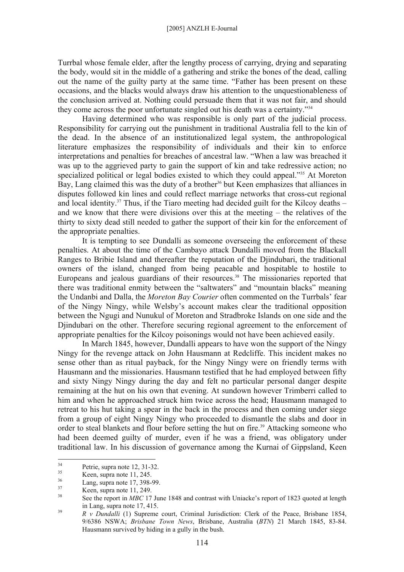## [2005] ANZLH E-Journal

Turrbal whose female elder, after the lengthy process of carrying, drying and separating the body, would sit in the middle of a gathering and strike the bones of the dead, calling out the name of the guilty party at the same time. "Father has been present on these occasions, and the blacks would always draw his attention to the unquestionableness of the conclusion arrived at. Nothing could persuade them that it was not fair, and should they come across the poor unfortunate singled out his death was a certainty."34

Having determined who was responsible is only part of the judicial process. Responsibility for carrying out the punishment in traditional Australia fell to the kin of the dead. In the absence of an institutionalized legal system, the anthropological literature emphasizes the responsibility of individuals and their kin to enforce interpretations and penalties for breaches of ancestral law. "When a law was breached it was up to the aggrieved party to gain the support of kin and take redressive action; no specialized political or legal bodies existed to which they could appeal."<sup>35</sup> At Moreton Bay, Lang claimed this was the duty of a brother<sup>36</sup> but Keen emphasizes that alliances in disputes followed kin lines and could reflect marriage networks that cross-cut regional and local identity.<sup>37</sup> Thus, if the Tiaro meeting had decided guilt for the Kilcoy deaths – and we know that there were divisions over this at the meeting – the relatives of the thirty to sixty dead still needed to gather the support of their kin for the enforcement of the appropriate penalties.

It is tempting to see Dundalli as someone overseeing the enforcement of these penalties. At about the time of the Cambayo attack Dundalli moved from the Blackall Ranges to Bribie Island and thereafter the reputation of the Djindubari, the traditional owners of the island, changed from being peacable and hospitable to hostile to Europeans and jealous guardians of their resources.<sup>38</sup> The missionaries reported that there was traditional enmity between the "saltwaters" and "mountain blacks" meaning the Undanbi and Dalla, the *Moreton Bay Courier* often commented on the Turrbals' fear of the Ningy Ningy, while Welsby's account makes clear the traditional opposition between the Ngugi and Nunukul of Moreton and Stradbroke Islands on one side and the Diindubari on the other. Therefore securing regional agreement to the enforcement of appropriate penalties for the Kilcoy poisonings would not have been achieved easily.

In March 1845, however, Dundalli appears to have won the support of the Ningy Ningy for the revenge attack on John Hausmann at Redcliffe. This incident makes no sense other than as ritual payback, for the Ningy Ningy were on friendly terms with Hausmann and the missionaries. Hausmann testified that he had employed between fifty and sixty Ningy Ningy during the day and felt no particular personal danger despite remaining at the hut on his own that evening. At sundown however Trimberri called to him and when he approached struck him twice across the head; Hausmann managed to retreat to his hut taking a spear in the back in the process and then coming under siege from a group of eight Ningy Ningy who proceeded to dismantle the slabs and door in order to steal blankets and flour before setting the hut on fire.<sup>39</sup> Attacking someone who had been deemed guilty of murder, even if he was a friend, was obligatory under traditional law. In his discussion of governance among the Kurnai of Gippsland, Keen

 $34$  $\frac{34}{35}$  Petrie, supra note 12, 31-32.

 $\frac{35}{36}$  Keen, supra note 11, 245.

 $\frac{36}{37}$  Lang, supra note 17, 398-99.

 $\frac{37}{38}$  Keen, supra note 11, 249.

See the report in *MBC* 17 June 1848 and contrast with Uniacke's report of 1823 quoted at length in Lang, supra note  $17,415$ .

<sup>39</sup> *R v Dundalli* (1) Supreme court, Criminal Jurisdiction: Clerk of the Peace, Brisbane 1854, 9/6386 NSWA; *Brisbane Town News*, Brisbane, Australia (*BTN*) 21 March 1845, 83-84. Hausmann survived by hiding in a gully in the bush.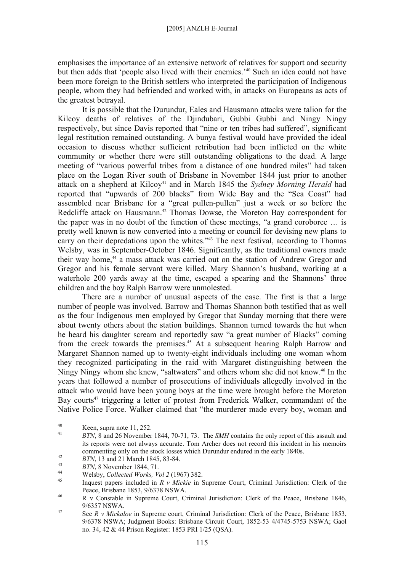emphasises the importance of an extensive network of relatives for support and security but then adds that 'people also lived with their enemies.'40 Such an idea could not have been more foreign to the British settlers who interpreted the participation of Indigenous people, whom they had befriended and worked with, in attacks on Europeans as acts of the greatest betrayal.

It is possible that the Durundur, Eales and Hausmann attacks were talion for the Kilcoy deaths of relatives of the Djindubari, Gubbi Gubbi and Ningy Ningy respectively, but since Davis reported that "nine or ten tribes had suffered", significant legal restitution remained outstanding. A bunya festival would have provided the ideal occasion to discuss whether sufficient retribution had been inflicted on the white community or whether there were still outstanding obligations to the dead. A large meeting of "various powerful tribes from a distance of one hundred miles" had taken place on the Logan River south of Brisbane in November 1844 just prior to another attack on a shepherd at Kilcoy<sup>41</sup> and in March 1845 the *Sydney Morning Herald* had reported that "upwards of 200 blacks" from Wide Bay and the "Sea Coast" had assembled near Brisbane for a "great pullen-pullen" just a week or so before the Redcliffe attack on Hausmann.<sup>42</sup> Thomas Dowse, the Moreton Bay correspondent for the paper was in no doubt of the function of these meetings, "a grand coroboree … is pretty well known is now converted into a meeting or council for devising new plans to carry on their depredations upon the whites."<sup>43</sup> The next festival, according to Thomas Welsby, was in September-October 1846. Significantly, as the traditional owners made their way home,<sup>44</sup> a mass attack was carried out on the station of Andrew Gregor and Gregor and his female servant were killed. Mary Shannon's husband, working at a waterhole 200 yards away at the time, escaped a spearing and the Shannons' three children and the boy Ralph Barrow were unmolested.

There are a number of unusual aspects of the case. The first is that a large number of people was involved. Barrow and Thomas Shannon both testified that as well as the four Indigenous men employed by Gregor that Sunday morning that there were about twenty others about the station buildings. Shannon turned towards the hut when he heard his daughter scream and reportedly saw "a great number of Blacks" coming from the creek towards the premises.45 At a subsequent hearing Ralph Barrow and Margaret Shannon named up to twenty-eight individuals including one woman whom they recognized participating in the raid with Margaret distinguishing between the Ningy Ningy whom she knew, "saltwaters" and others whom she did not know.<sup>46</sup> In the years that followed a number of prosecutions of individuals allegedly involved in the attack who would have been young boys at the time were brought before the Moreton Bay courts<sup>47</sup> triggering a letter of protest from Frederick Walker, commandant of the Native Police Force. Walker claimed that "the murderer made every boy, woman and

 $40<sup>1</sup>$  $\frac{40}{41}$  Keen, supra note 11, 252.

<sup>41</sup> *BTN*, 8 and 26 November 1844, 70-71, 73. The *SMH* contains the only report of this assault and its reports were not always accurate. Tom Archer does not record this incident in his memoirs commenting only on the stock losses which Durundur endured in the early 1840s.<br> *BTN*, 13 and 21 March 1845, 83-84.<br> *BTN*, 8 November 1844, 71.<br>
Welsby, *Collected Works*, *Vol* 2 (1967) 382.<br>
Inquest papers included in

Peace, Brisbane 1853, 9/6378 NSWA.

<sup>46</sup> R v Constable in Supreme Court, Criminal Jurisdiction: Clerk of the Peace, Brisbane 1846,  $9/6357$  NSWA.

See *R v Mickaloe* in Supreme court, Criminal Jurisdiction: Clerk of the Peace, Brisbane 1853, 9/6378 NSWA; Judgment Books: Brisbane Circuit Court, 1852-53 4/4745-5753 NSWA; Gaol no. 34, 42 & 44 Prison Register: 1853 PRI 1/25 (QSA).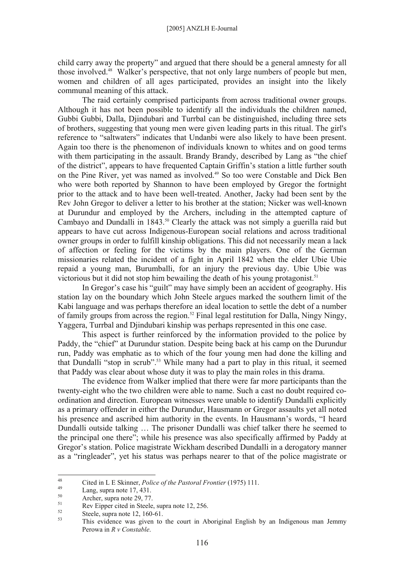child carry away the property" and argued that there should be a general amnesty for all those involved.<sup>48</sup> Walker's perspective, that not only large numbers of people but men. women and children of all ages participated, provides an insight into the likely communal meaning of this attack.

The raid certainly comprised participants from across traditional owner groups. Although it has not been possible to identify all the individuals the children named, Gubbi Gubbi, Dalla, Djindubari and Turrbal can be distinguished, including three sets of brothers, suggesting that young men were given leading parts in this ritual. The girl's reference to "saltwaters" indicates that Undanbi were also likely to have been present. Again too there is the phenomenon of individuals known to whites and on good terms with them participating in the assault. Brandy Brandy, described by Lang as "the chief of the district", appears to have frequented Captain Griffin's station a little further south on the Pine River, yet was named as involved.49 So too were Constable and Dick Ben who were both reported by Shannon to have been employed by Gregor the fortnight prior to the attack and to have been well-treated. Another, Jacky had been sent by the Rev John Gregor to deliver a letter to his brother at the station; Nicker was well-known at Durundur and employed by the Archers, including in the attempted capture of Cambayo and Dundalli in 1843.<sup>50</sup> Clearly the attack was not simply a guerilla raid but appears to have cut across Indigenous-European social relations and across traditional owner groups in order to fulfill kinship obligations. This did not necessarily mean a lack of affection or feeling for the victims by the main players. One of the German missionaries related the incident of a fight in April 1842 when the elder Ubie Ubie repaid a young man, Burumballi, for an injury the previous day. Ubie Ubie was victorious but it did not stop him bewailing the death of his young protagonist.<sup>51</sup>

In Gregor's case his "guilt" may have simply been an accident of geography. His station lay on the boundary which John Steele argues marked the southern limit of the Kabi language and was perhaps therefore an ideal location to settle the debt of a number of family groups from across the region.<sup>52</sup> Final legal restitution for Dalla, Ningy Ningy, Yaggera, Turrbal and Djindubari kinship was perhaps represented in this one case.

This aspect is further reinforced by the information provided to the police by Paddy, the "chief" at Durundur station. Despite being back at his camp on the Durundur run, Paddy was emphatic as to which of the four young men had done the killing and that Dundalli "stop in scrub".53 While many had a part to play in this ritual, it seemed that Paddy was clear about whose duty it was to play the main roles in this drama.

The evidence from Walker implied that there were far more participants than the twenty-eight who the two children were able to name. Such a cast no doubt required coordination and direction. European witnesses were unable to identify Dundalli explicitly as a primary offender in either the Durundur, Hausmann or Gregor assaults yet all noted his presence and ascribed him authority in the events. In Hausmann's words, "I heard Dundalli outside talking … The prisoner Dundalli was chief talker there he seemed to the principal one there"; while his presence was also specifically affirmed by Paddy at Gregor's station. Police magistrate Wickham described Dundalli in a derogatory manner as a "ringleader", yet his status was perhaps nearer to that of the police magistrate or

<sup>48</sup> 48 Cited in L E Skinner, *Police of the Pastoral Frontier* (1975) 111.<br>
Lang, supra note 17, 431.<br>
<sup>50</sup>

 $5<sup>10</sup>$  Archer, supra note 29, 77.

 $51$  Rev Eipper cited in Steele, supra note 12, 256.

 $5^{52}$  Steele, supra note 12, 160-61.

This evidence was given to the court in Aboriginal English by an Indigenous man Jemmy Perowa in *R v Constable*.